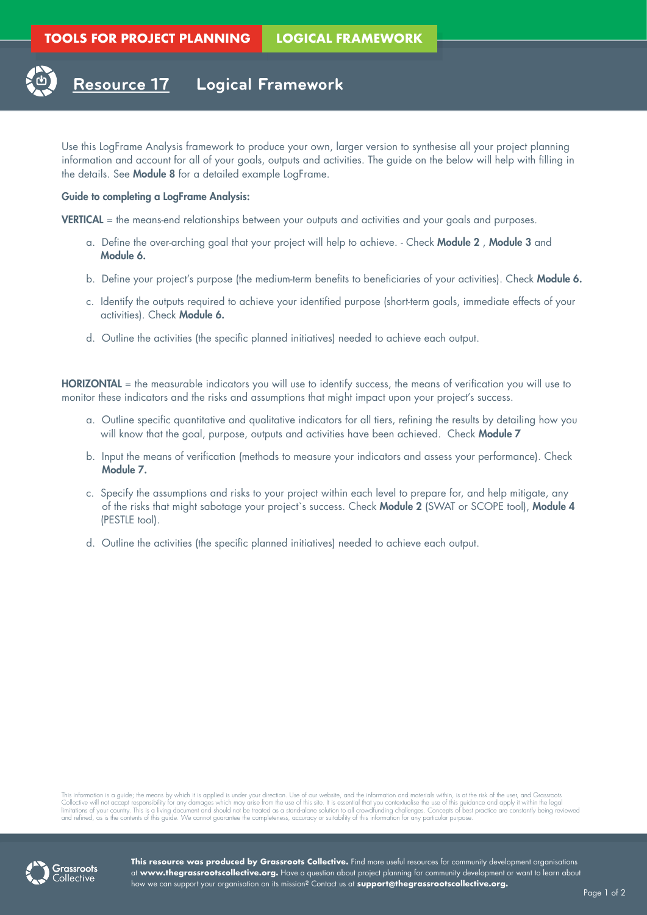

Use this LogFrame Analysis framework to produce your own, larger version to synthesise all your project planning information and account for all of your goals, outputs and activities. The guide on the below will help with filling in the details. See Module 8 for a detailed example LogFrame.

## Guide to completing a LogFrame Analysis:

VERTICAL = the means-end relationships between your outputs and activities and your goals and purposes.

- a. Define the over-arching goal that your project will help to achieve. Check Module 2 , Module 3 and Module 6.
- b. Define your project's purpose (the medium-term benefits to beneficiaries of your activities). Check Module 6.
- c. Identify the outputs required to achieve your identified purpose (short-term goals, immediate effects of your activities). Check Module 6.
- d. Outline the activities (the specific planned initiatives) needed to achieve each output.

HORIZONTAL = the measurable indicators you will use to identify success, the means of verification you will use to monitor these indicators and the risks and assumptions that might impact upon your project's success.

- a. Outline specific quantitative and qualitative indicators for all tiers, refining the results by detailing how you will know that the goal, purpose, outputs and activities have been achieved. Check Module 7
- b. Input the means of verification (methods to measure your indicators and assess your performance). Check Module 7.
- c. Specify the assumptions and risks to your project within each level to prepare for, and help mitigate, any of the risks that might sabotage your project's success. Check Module 2 (SWAT or SCOPE tool), Module 4 (PESTLE tool).
- d. Outline the activities (the specific planned initiatives) needed to achieve each output.

This information is a guide; the means by which it is applied is under your direction. Use of our website, and the information and materials within, is at the risk of the user, and Grassroots<br>Collective will not accept res



**This resource was produced by Grassroots Collective.** Find more useful resources for community development organisations at **www.thegrassrootscollective.org.** Have a question about project planning for community development or want to learn about how we can support your organisation on its mission? Contact us at **support@thegrassrootscollective.org.**